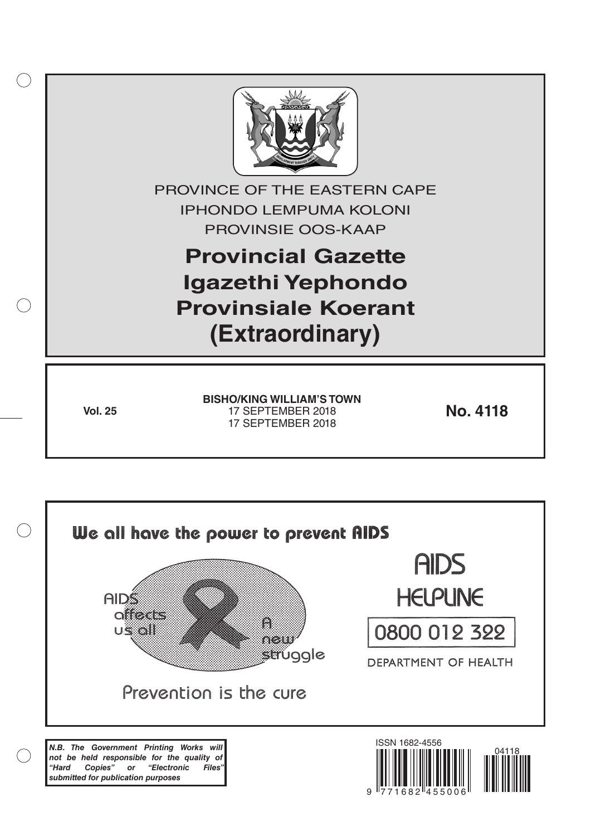

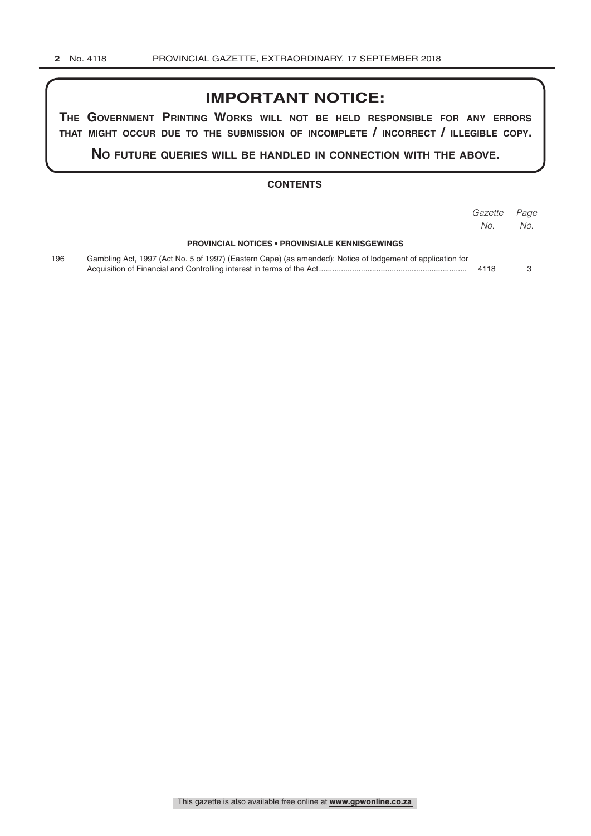## **IMPORTANT NOTICE:**

**The GovernmenT PrinTinG Works Will noT be held resPonsible for any errors ThaT miGhT occur due To The submission of incomPleTe / incorrecT / illeGible coPy.**

**no fuTure queries Will be handled in connecTion WiTh The above.**

### **CONTENTS**

|     |                                                                                                            | Gazette | Page |
|-----|------------------------------------------------------------------------------------------------------------|---------|------|
|     | <b>PROVINCIAL NOTICES • PROVINSIALE KENNISGEWINGS</b>                                                      | No.     | No.  |
| 196 | Gambling Act, 1997 (Act No. 5 of 1997) (Eastern Cape) (as amended): Notice of lodgement of application for | 4118    |      |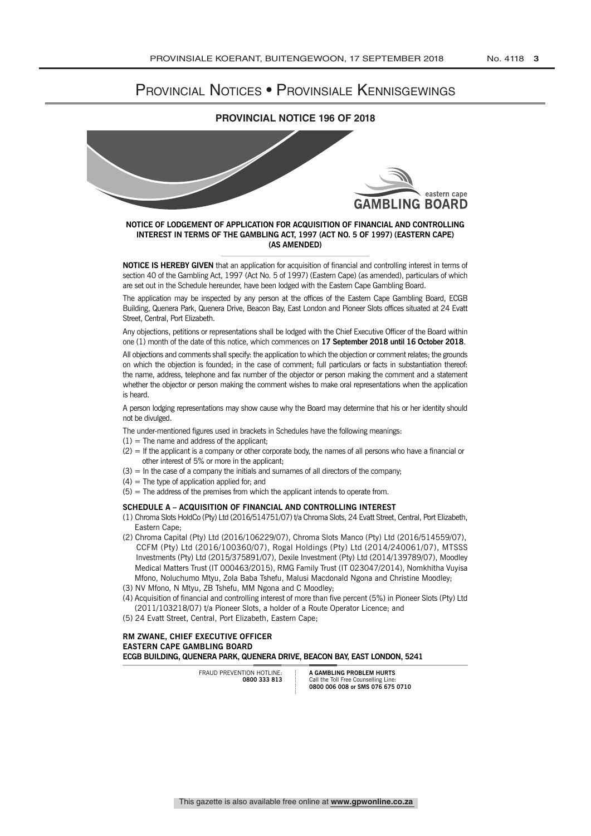# PROVINCIAL NOTICES • PROVINSIALE KENNISGEWINGS

### **PROVINCIAL NOTICE 196 OF 2018**



#### **NOTICE OF LODGEMENT OF APPLICATION FOR ACQUISITION OF FINANCIAL AND CONTROLLING INTEREST IN TERMS OF THE GAMBLING ACT, 1997 (ACT NO. 5 OF 1997) (EASTERN CAPE) (AS AMENDED)**

**NOTICE IS HEREBY GIVEN** that an application for acquisition of financial and controlling interest in terms of section 40 of the Gambling Act, 1997 (Act No. 5 of 1997) (Eastern Cape) (as amended), particulars of which are set out in the Schedule hereunder, have been lodged with the Eastern Cape Gambling Board.

The application may be inspected by any person at the offices of the Eastern Cape Gambling Board, ECGB Building, Quenera Park, Quenera Drive, Beacon Bay, East London and Pioneer Slots offices situated at 24 Evatt Street, Central, Port Elizabeth.

Any objections, petitions or representations shall be lodged with the Chief Executive Officer of the Board within one (1) month of the date of this notice, which commences on **17 September 2018 until 16 October 2018**.

All objections and comments shall specify: the application to which the objection or comment relates; the grounds on which the objection is founded; in the case of comment; full particulars or facts in substantiation thereof: the name, address, telephone and fax number of the objector or person making the comment and a statement whether the objector or person making the comment wishes to make oral representations when the application is heard.

A person lodging representations may show cause why the Board may determine that his or her identity should not be divulged.

The under-mentioned figures used in brackets in Schedules have the following meanings:

- $(1)$  = The name and address of the applicant;
- $(2)$  = If the applicant is a company or other corporate body, the names of all persons who have a financial or other interest of 5% or more in the applicant;
- $(3)$  = In the case of a company the initials and sumames of all directors of the company;
- $(4)$  = The type of application applied for; and
- $(5)$  = The address of the premises from which the applicant intends to operate from.

#### **SCHEDULE A – ACQUISITION OF FINANCIAL AND CONTROLLING INTEREST**

- (1) Chroma Slots HoldCo (Pty) Ltd (2016/514751/07) t/a Chroma Slots, 24 Evatt Street, Central, Port Elizabeth, Eastern Cape;
- (2) Chroma Capital (Pty) Ltd (2016/106229/07), Chroma Slots Manco (Pty) Ltd (2016/514559/07), CCFM (Pty) Ltd (2016/100360/07), Rogal Holdings (Pty) Ltd (2014/240061/07), MTSSS Investments (Pty) Ltd (2015/375891/07), Dexile Investment (Pty) Ltd (2014/139789/07), Moodley Medical Matters Trust (IT 000463/2015), RMG Family Trust (IT 023047/2014), Nomkhitha Vuyisa Mfono, Noluchumo Mtyu, Zola Baba Tshefu, Malusi Macdonald Ngona and Christine Moodley;
- (3) NV Mfono, N Mtyu, ZB Tshefu, MM Ngona and C Moodley;
- (4) Acquisition of financial and controlling interest of more than five percent (5%) in Pioneer Slots (Pty) Ltd (2011/103218/07) t/a Pioneer Slots, a holder of a Route Operator Licence; and
- (5) 24 Evatt Street, Central, Port Elizabeth, Eastern Cape;

**RM ZwANE, CHIEF ExECUTIVE OFFICER EASTERN CAPE GAMBLING BOARD ECGB BUILDING, QUENERA PARk, QUENERA DRIVE, BEACON BAY, EAST LONDON, 5241**

> FRAUD PREVENTION HOTLINE **0800 333 813**

**A GAMBLING PROBLEM HURTS** Call the Toll Free Counselling Line: **0800 006 008 or SMS 076 675 0710**